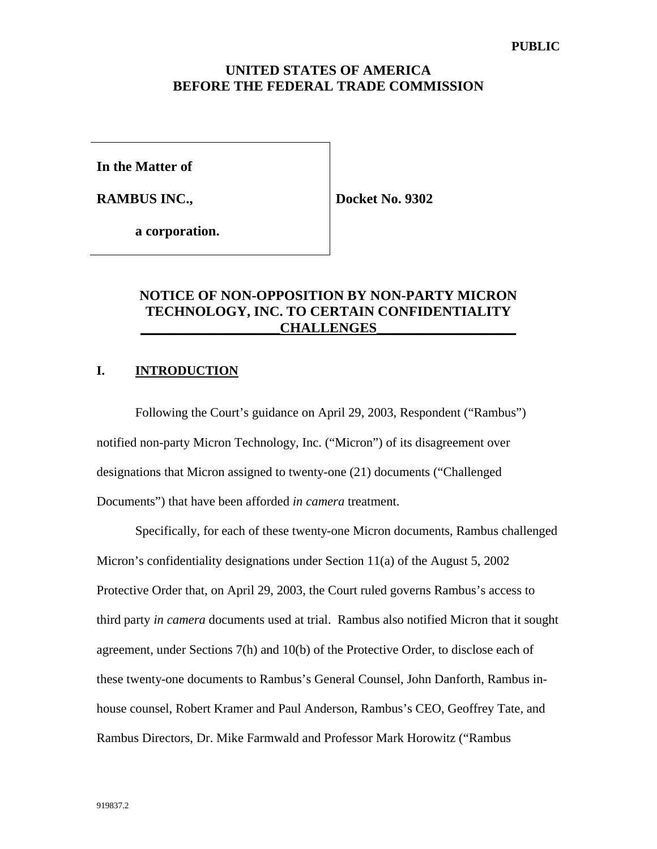**In the Matter of**

**RAMBUS INC.,**

**Docket No. 9302**

**a corporation.**

# **NOTICE OF NON-OPPOSITION BY NON-PARTY MICRON TECHNOLOGY, INC. TO CERTAIN CONFIDENTIALITY \_\_\_\_\_\_\_\_\_\_\_\_\_\_\_\_\_\_\_\_CHALLENGES\_\_\_\_\_\_\_\_\_\_\_\_\_\_\_\_\_\_\_\_**

#### **I. INTRODUCTION**

Following the Court's guidance on April 29, 2003, Respondent ("Rambus") notified non-party Micron Technology, Inc. ("Micron") of its disagreement over designations that Micron assigned to twenty-one (21) documents ("Challenged Documents") that have been afforded *in camera* treatment.

Specifically, for each of these twenty-one Micron documents, Rambus challenged Micron's confidentiality designations under Section  $11(a)$  of the August 5, 2002 Protective Order that, on April 29, 2003, the Court ruled governs Rambus's access to third party *in camera* documents used at trial. Rambus also notified Micron that it sought agreement, under Sections 7(h) and 10(b) of the Protective Order, to disclose each of these twenty-one documents to Rambus's General Counsel, John Danforth, Rambus inhouse counsel, Robert Kramer and Paul Anderson, Rambus's CEO, Geoffrey Tate, and Rambus Directors, Dr. Mike Farmwald and Professor Mark Horowitz ("Rambus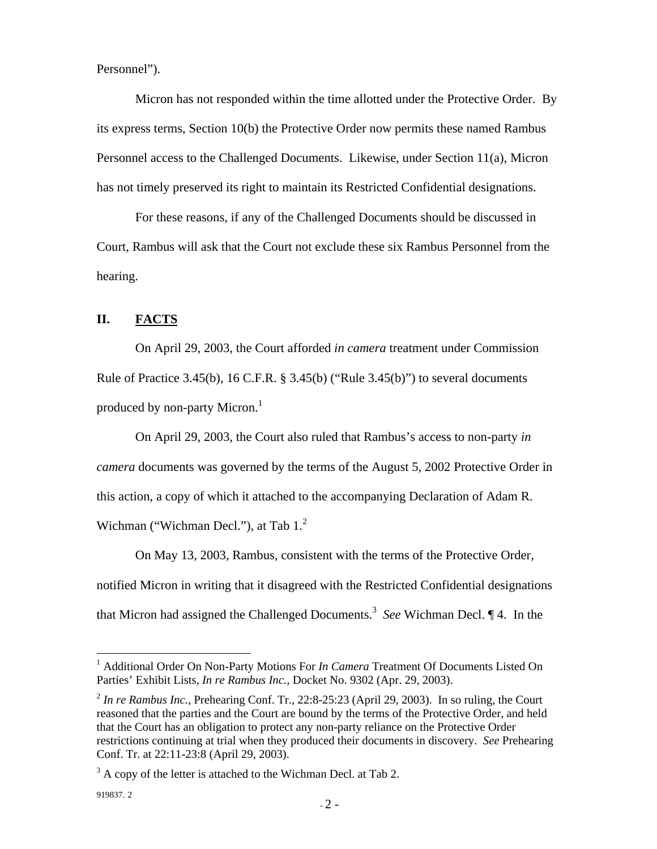Personnel").

Micron has not responded within the time allotted under the Protective Order. By its express terms, Section 10(b) the Protective Order now permits these named Rambus Personnel access to the Challenged Documents. Likewise, under Section 11(a), Micron has not timely preserved its right to maintain its Restricted Confidential designations.

For these reasons, if any of the Challenged Documents should be discussed in Court, Rambus will ask that the Court not exclude these six Rambus Personnel from the hearing.

#### **II. FACTS**

On April 29, 2003, the Court afforded *in camera* treatment under Commission Rule of Practice 3.45(b), 16 C.F.R. § 3.45(b) ("Rule 3.45(b)") to several documents produced by non-party Micron.<sup>1</sup>

On April 29, 2003, the Court also ruled that Rambus's access to non-party *in camera* documents was governed by the terms of the August 5, 2002 Protective Order in this action, a copy of which it attached to the accompanying Declaration of Adam R. Wichman ("Wichman Decl."), at Tab 1.<sup>2</sup>

On May 13, 2003, Rambus, consistent with the terms of the Protective Order, notified Micron in writing that it disagreed with the Restricted Confidential designations that Micron had assigned the Challenged Documents.<sup>3</sup> *See* Wichman Decl. ¶ 4. In the

 $\overline{a}$ 

<sup>&</sup>lt;sup>1</sup> Additional Order On Non-Party Motions For *In Camera* Treatment Of Documents Listed On Parties' Exhibit Lists, *In re Rambus Inc.*, Docket No. 9302 (Apr. 29, 2003).

 $2$  In re Rambus Inc., Prehearing Conf. Tr., 22:8-25:23 (April 29, 2003). In so ruling, the Court reasoned that the parties and the Court are bound by the terms of the Protective Order, and held that the Court has an obligation to protect any non-party reliance on the Protective Order restrictions continuing at trial when they produced their documents in discovery. *See* Prehearing Conf. Tr. at 22:11-23:8 (April 29, 2003).

 $3<sup>3</sup>$  A copy of the letter is attached to the Wichman Decl. at Tab 2.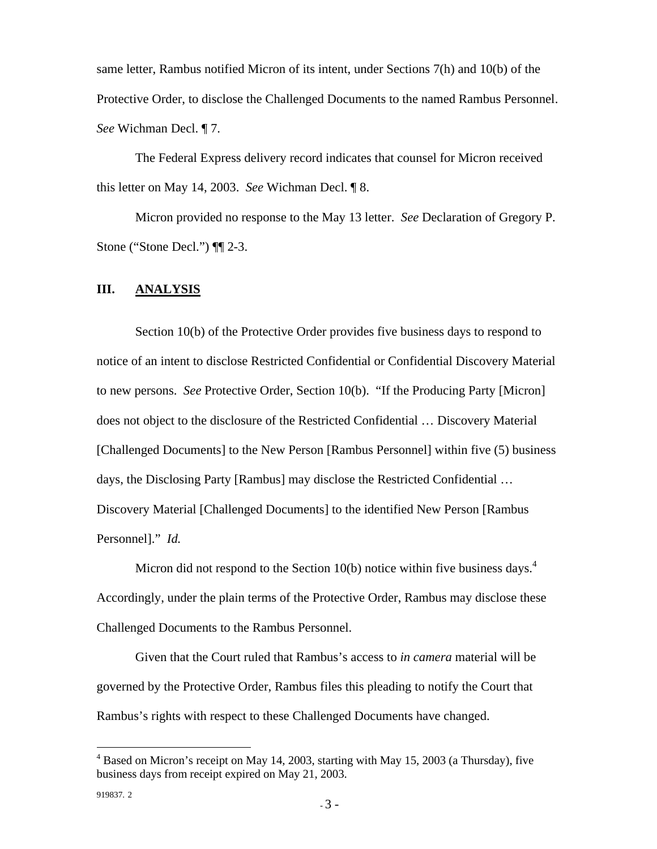same letter, Rambus notified Micron of its intent, under Sections 7(h) and 10(b) of the Protective Order, to disclose the Challenged Documents to the named Rambus Personnel. *See* Wichman Decl. ¶ 7.

The Federal Express delivery record indicates that counsel for Micron received this letter on May 14, 2003. *See* Wichman Decl. ¶ 8.

Micron provided no response to the May 13 letter. *See* Declaration of Gregory P. Stone ("Stone Decl.") ¶¶ 2-3.

#### **III. ANALYSIS**

Section 10(b) of the Protective Order provides five business days to respond to notice of an intent to disclose Restricted Confidential or Confidential Discovery Material to new persons. *See* Protective Order, Section 10(b). "If the Producing Party [Micron] does not object to the disclosure of the Restricted Confidential … Discovery Material [Challenged Documents] to the New Person [Rambus Personnel] within five (5) business days, the Disclosing Party [Rambus] may disclose the Restricted Confidential … Discovery Material [Challenged Documents] to the identified New Person [Rambus Personnel]." *Id.*

Micron did not respond to the Section 10(b) notice within five business days.<sup>4</sup> Accordingly, under the plain terms of the Protective Order, Rambus may disclose these Challenged Documents to the Rambus Personnel.

Given that the Court ruled that Rambus's access to *in camera* material will be governed by the Protective Order, Rambus files this pleading to notify the Court that Rambus's rights with respect to these Challenged Documents have changed.

 $\overline{a}$ 

 $4$  Based on Micron's receipt on May 14, 2003, starting with May 15, 2003 (a Thursday), five business days from receipt expired on May 21, 2003.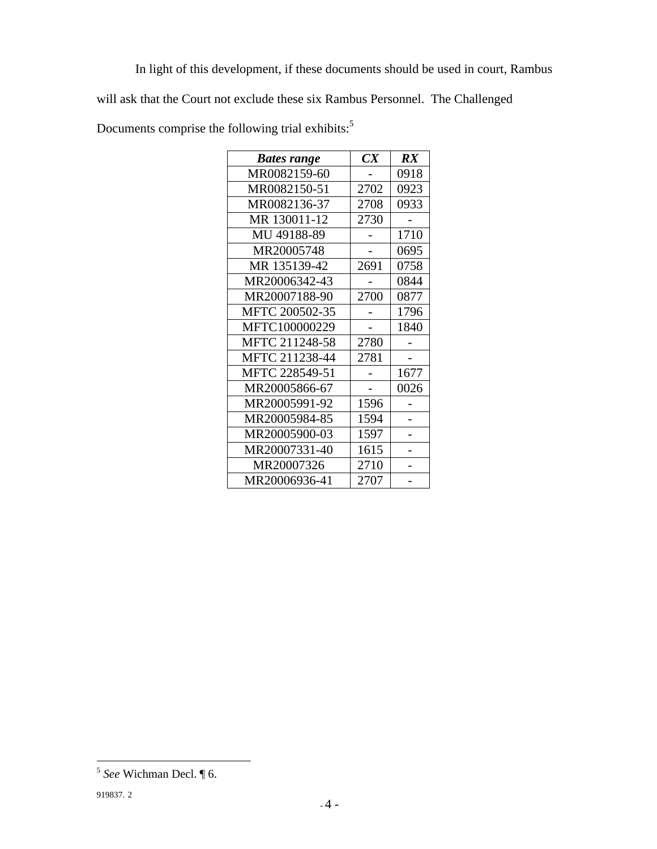In light of this development, if these documents should be used in court, Rambus will ask that the Court not exclude these six Rambus Personnel. The Challenged Documents comprise the following trial exhibits:<sup>5</sup>

| <b>Bates range</b> | CX   | $\boldsymbol{R} \boldsymbol{X}$ |
|--------------------|------|---------------------------------|
| MR0082159-60       |      | 0918                            |
| MR0082150-51       | 2702 | 0923                            |
| MR0082136-37       | 2708 | 0933                            |
| MR 130011-12       | 2730 |                                 |
| MU 49188-89        |      | 1710                            |
| MR20005748         |      | 0695                            |
| MR 135139-42       | 2691 | 0758                            |
| MR20006342-43      |      | 0844                            |
| MR20007188-90      | 2700 | 0877                            |
| MFTC 200502-35     |      | 1796                            |
| MFTC100000229      |      | 1840                            |
| MFTC 211248-58     | 2780 |                                 |
| MFTC 211238-44     | 2781 | -                               |
| MFTC 228549-51     |      | 1677                            |
| MR20005866-67      |      | 0026                            |
| MR20005991-92      | 1596 |                                 |
| MR20005984-85      | 1594 |                                 |
| MR20005900-03      | 1597 |                                 |
| MR20007331-40      | 1615 |                                 |
| MR20007326         | 2710 |                                 |
| MR20006936-41      | 2707 |                                 |

 5 *See* Wichman Decl. ¶ 6.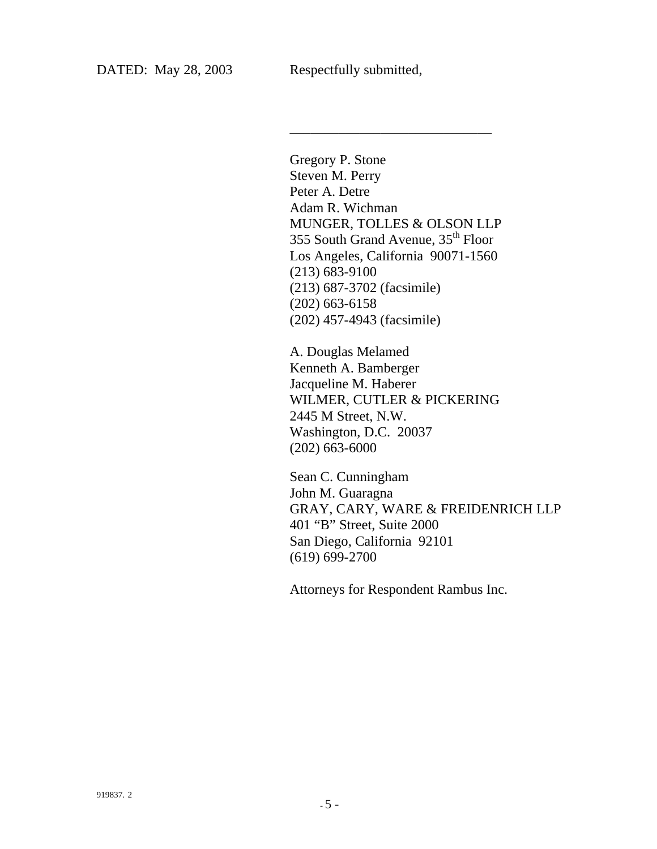Gregory P. Stone Steven M. Perry Peter A. Detre Adam R. Wichman MUNGER, TOLLES & OLSON LLP 355 South Grand Avenue, 35<sup>th</sup> Floor Los Angeles, California 90071-1560 (213) 683-9100 (213) 687-3702 (facsimile) (202) 663-6158 (202) 457-4943 (facsimile)

\_\_\_\_\_\_\_\_\_\_\_\_\_\_\_\_\_\_\_\_\_\_\_\_\_\_\_\_\_

A. Douglas Melamed Kenneth A. Bamberger Jacqueline M. Haberer WILMER, CUTLER & PICKERING 2445 M Street, N.W. Washington, D.C. 20037 (202) 663-6000

Sean C. Cunningham John M. Guaragna GRAY, CARY, WARE & FREIDENRICH LLP 401 "B" Street, Suite 2000 San Diego, California 92101 (619) 699-2700

Attorneys for Respondent Rambus Inc.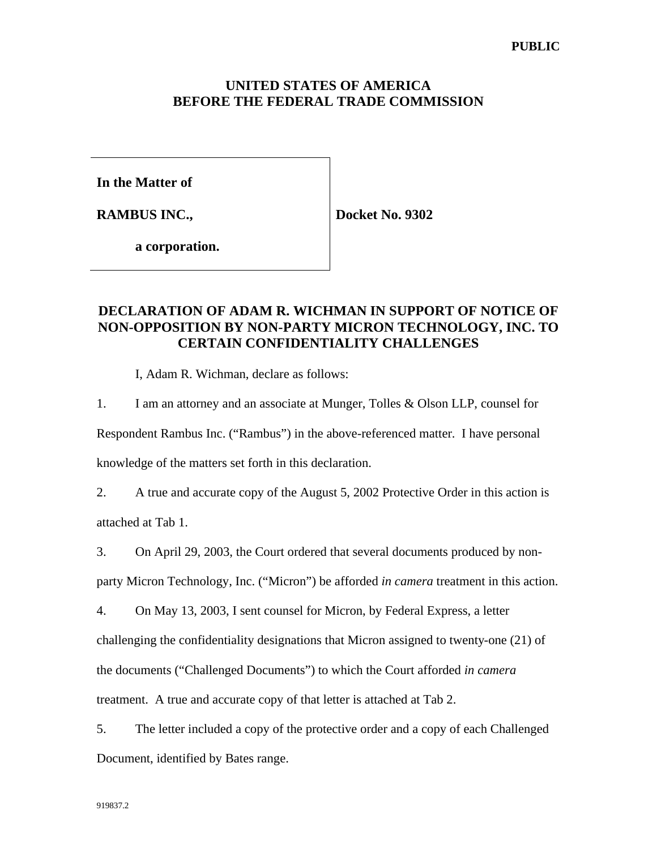**In the Matter of**

**RAMBUS INC.,**

**Docket No. 9302**

**a corporation.**

## **DECLARATION OF ADAM R. WICHMAN IN SUPPORT OF NOTICE OF NON-OPPOSITION BY NON-PARTY MICRON TECHNOLOGY, INC. TO CERTAIN CONFIDENTIALITY CHALLENGES**

I, Adam R. Wichman, declare as follows:

1. I am an attorney and an associate at Munger, Tolles & Olson LLP, counsel for Respondent Rambus Inc. ("Rambus") in the above-referenced matter. I have personal knowledge of the matters set forth in this declaration.

2. A true and accurate copy of the August 5, 2002 Protective Order in this action is attached at Tab 1.

3. On April 29, 2003, the Court ordered that several documents produced by non-

party Micron Technology, Inc. ("Micron") be afforded *in camera* treatment in this action.

4. On May 13, 2003, I sent counsel for Micron, by Federal Express, a letter

challenging the confidentiality designations that Micron assigned to twenty-one (21) of

the documents ("Challenged Documents") to which the Court afforded *in camera*

treatment. A true and accurate copy of that letter is attached at Tab 2.

5. The letter included a copy of the protective order and a copy of each Challenged Document, identified by Bates range.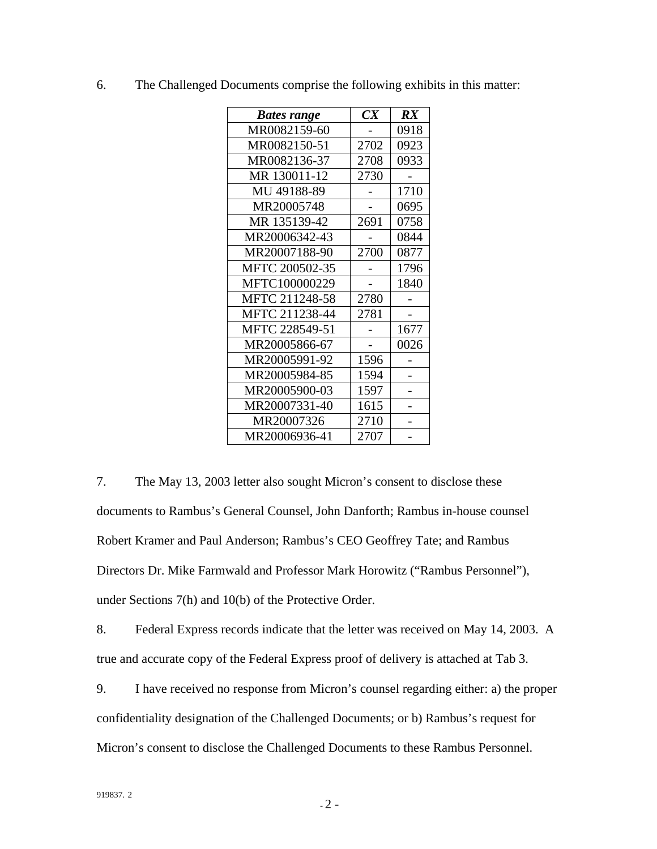| <b>Bates range</b> | CX   | $\boldsymbol{R} \boldsymbol{X}$ |
|--------------------|------|---------------------------------|
| MR0082159-60       |      | 0918                            |
| MR0082150-51       | 2702 | 0923                            |
| MR0082136-37       | 2708 | 0933                            |
| MR 130011-12       | 2730 |                                 |
| MU 49188-89        |      | 1710                            |
| MR20005748         |      | 0695                            |
| MR 135139-42       | 2691 | 0758                            |
| MR20006342-43      |      | 0844                            |
| MR20007188-90      | 2700 | 0877                            |
| MFTC 200502-35     |      | 1796                            |
| MFTC100000229      |      | 1840                            |
| MFTC 211248-58     | 2780 |                                 |
| MFTC 211238-44     | 2781 |                                 |
| MFTC 228549-51     |      | 1677                            |
| MR20005866-67      |      | 0026                            |
| MR20005991-92      | 1596 |                                 |
| MR20005984-85      | 1594 |                                 |
| MR20005900-03      | 1597 |                                 |
| MR20007331-40      | 1615 |                                 |
| MR20007326         | 2710 |                                 |
| MR20006936-41      | 2707 |                                 |

6. The Challenged Documents comprise the following exhibits in this matter:

7. The May 13, 2003 letter also sought Micron's consent to disclose these documents to Rambus's General Counsel, John Danforth; Rambus in-house counsel Robert Kramer and Paul Anderson; Rambus's CEO Geoffrey Tate; and Rambus Directors Dr. Mike Farmwald and Professor Mark Horowitz ("Rambus Personnel"), under Sections 7(h) and 10(b) of the Protective Order.

8. Federal Express records indicate that the letter was received on May 14, 2003. A true and accurate copy of the Federal Express proof of delivery is attached at Tab 3.

9. I have received no response from Micron's counsel regarding either: a) the proper confidentiality designation of the Challenged Documents; or b) Rambus's request for Micron's consent to disclose the Challenged Documents to these Rambus Personnel.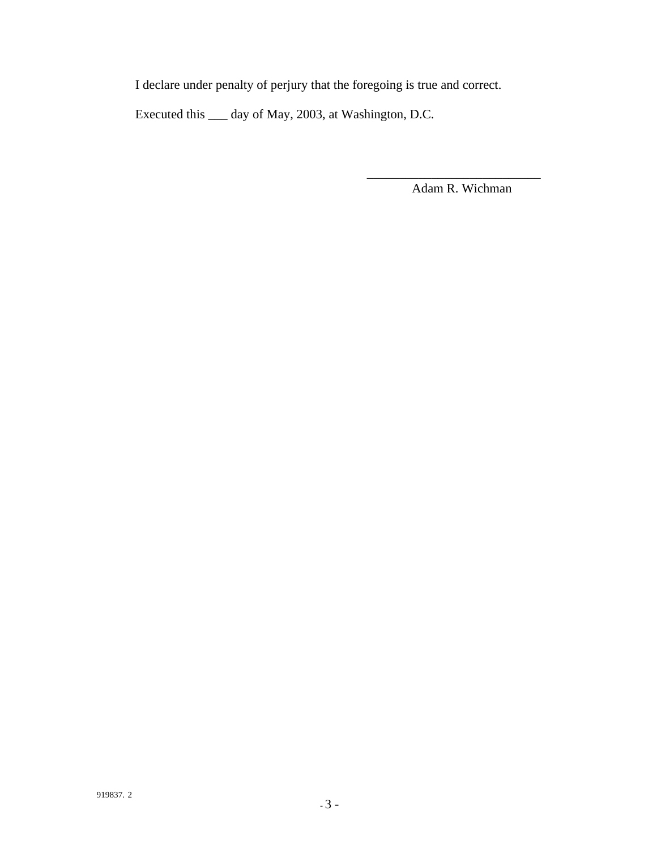I declare under penalty of perjury that the foregoing is true and correct.

Executed this \_\_\_ day of May, 2003, at Washington, D.C.

Adam R. Wichman

\_\_\_\_\_\_\_\_\_\_\_\_\_\_\_\_\_\_\_\_\_\_\_\_\_\_\_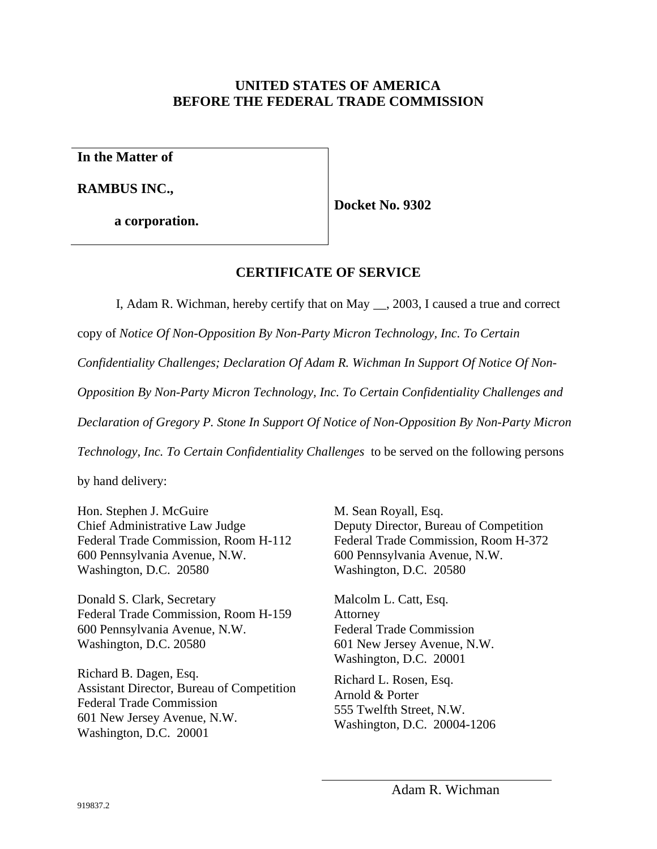**In the Matter of**

**RAMBUS INC.,**

**a corporation.**

**Docket No. 9302**

# **CERTIFICATE OF SERVICE**

I, Adam R. Wichman, hereby certify that on May \_\_, 2003, I caused a true and correct

copy of *Notice Of Non-Opposition By Non-Party Micron Technology, Inc. To Certain* 

*Confidentiality Challenges; Declaration Of Adam R. Wichman In Support Of Notice Of Non-*

*Opposition By Non-Party Micron Technology, Inc. To Certain Confidentiality Challenges and* 

*Declaration of Gregory P. Stone In Support Of Notice of Non-Opposition By Non-Party Micron* 

*Technology, Inc. To Certain Confidentiality Challenges* to be served on the following persons

l

by hand delivery:

Hon. Stephen J. McGuire Chief Administrative Law Judge Federal Trade Commission, Room H-112 600 Pennsylvania Avenue, N.W. Washington, D.C. 20580

Donald S. Clark, Secretary Federal Trade Commission, Room H-159 600 Pennsylvania Avenue, N.W. Washington, D.C. 20580

Richard B. Dagen, Esq. Assistant Director, Bureau of Competition Federal Trade Commission 601 New Jersey Avenue, N.W. Washington, D.C. 20001

M. Sean Royall, Esq. Deputy Director, Bureau of Competition Federal Trade Commission, Room H-372 600 Pennsylvania Avenue, N.W. Washington, D.C. 20580

Malcolm L. Catt, Esq. Attorney Federal Trade Commission 601 New Jersey Avenue, N.W. Washington, D.C. 20001

Richard L. Rosen, Esq. Arnold & Porter 555 Twelfth Street, N.W. Washington, D.C. 20004-1206